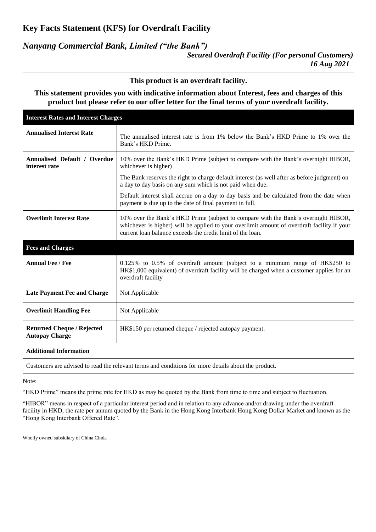## **Key Facts Statement (KFS) for Overdraft Facility**

### *Nanyang Commercial Bank, Limited ("the Bank")*

*Secured Overdraft Facility (For personal Customers) 16 Aug 2021*

**This product is an overdraft facility. This statement provides you with indicative information about Interest, fees and charges of this product but please refer to our offer letter for the final terms of your overdraft facility. Interest Rates and Interest Charges Annualised Interest Rate** The annualised interest rate is from 1% below the Bank's HKD Prime to 1% over the Bank's HKD Prime. **Annualised Default / Overdue interest rate** 10% over the Bank's HKD Prime (subject to compare with the Bank's overnight HIBOR, whichever is higher) The Bank reserves the right to charge default interest (as well after as before judgment) on a day to day basis on any sum which is not paid when due. Default interest shall accrue on a day to day basis and be calculated from the date when payment is due up to the date of final payment in full. **Overlimit Interest Rate** 10% over the Bank's HKD Prime (subject to compare with the Bank's overnight HIBOR, whichever is higher) will be applied to your overlimit amount of overdraft facility if your current loan balance exceeds the credit limit of the loan. **Fees and Charges Annual Fee / Fee** 1.125% to 0.5% of overdraft amount (subject to a minimum range of HK\$250 to HK\$1,000 equivalent) of overdraft facility will be charged when a customer applies for an overdraft facility **Late Payment Fee and Charge** | Not Applicable **Overlimit Handling Fee** Not Applicable **Returned Cheque / Rejected Autopay Charge** HK\$150 per returned cheque / rejected autopay payment. **Additional Information**

Customers are advised to read the relevant terms and conditions for more details about the product.

Note:

"HKD Prime" means the prime rate for HKD as may be quoted by the Bank from time to time and subject to fluctuation.

"HIBOR" means in respect of a particular interest period and in relation to any advance and/or drawing under the overdraft facility in HKD, the rate per annum quoted by the Bank in the Hong Kong Interbank Hong Kong Dollar Market and known as the "Hong Kong Interbank Offered Rate".

Wholly owned subsidiary of China Cinda